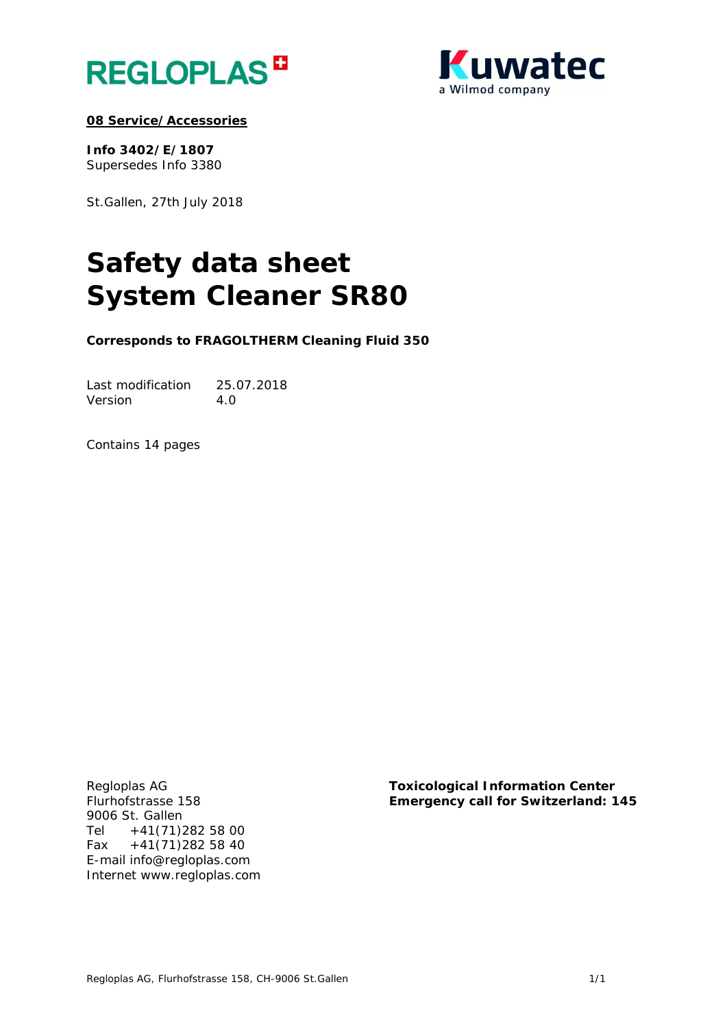



# **08 Service/Accessories**

**Info 3402/E/1807**  Supersedes Info 3380

St.Gallen, 27th July 2018

# **Safety data sheet System Cleaner SR80**

**Corresponds to FRAGOLTHERM Cleaning Fluid 350** 

Last modification 25.07.2018 Version 4.0

Contains 14 pages

9006 St. Gallen Tel +41(71)282 58 00 Fax  $+41(71)2825840$ E-mail info@regloplas.com Internet www.regloplas.com

Regloplas AG **Toxicological Information Center**  Flurhofstrasse 158 **Emergency call for Switzerland: 145**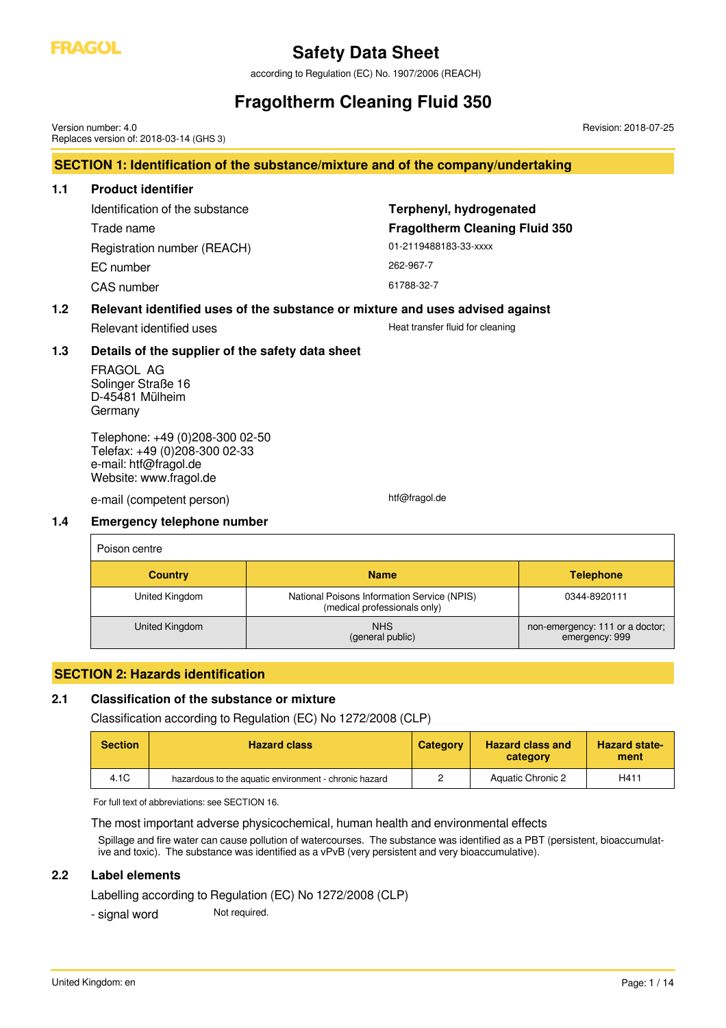

according to Regulation (EC) No. 1907/2006 (REACH)

# **Fragoltherm Cleaning Fluid 350**

**SECTION 1: Identification of the substance/mixture and of the company/undertaking 1.1 Product identifier** Identification of the substance **Terphenyl, hydrogenated** Trade name **Fragoltherm Cleaning Fluid 350** Registration number (REACH) 01-2119488183-33-xxxx EC number 262-967-7 CAS number 61788-32-7 **1.2 Relevant identified uses of the substance or mixture and uses advised against** Relevant identified uses **Heat transfer fluid for cleaning 1.3 Details of the supplier of the safety data sheet** FRAGOL AG Solinger Straße 16 D-45481 Mülheim Germany Telephone: +49 (0)208-300 02-50 Telefax: +49 (0)208-300 02-33 e-mail: htf@fragol.de Website: www.fragol.de e-mail (competent person) htf@fragol.de **1.4 Emergency telephone number** Poison centre **Country Name Telephone** Version number: 4.0 Replaces version of: 2018-03-14 (GHS 3) Revision: 2018-07-25

| <b>Country</b> | <b>Name</b>                                                                 | <b>Telephone</b>                                  |
|----------------|-----------------------------------------------------------------------------|---------------------------------------------------|
| United Kingdom | National Poisons Information Service (NPIS)<br>(medical professionals only) | 0344-8920111                                      |
| United Kingdom | <b>NHS</b><br>(general public)                                              | non-emergency: 111 or a doctor;<br>emergency: 999 |

### **SECTION 2: Hazards identification**

### **2.1 Classification of the substance or mixture**

Classification according to Regulation (EC) No 1272/2008 (CLP)

| <b>Section</b> | <b>Hazard class</b>                                   | <b>Category</b> | <b>Hazard class and</b><br>category | <b>Hazard state-</b><br>ment |
|----------------|-------------------------------------------------------|-----------------|-------------------------------------|------------------------------|
| 4.1C           | hazardous to the aquatic environment - chronic hazard |                 | Aquatic Chronic 2                   | H411                         |

For full text of abbreviations: see SECTION 16.

#### The most important adverse physicochemical, human health and environmental effects

Spillage and fire water can cause pollution of watercourses. The substance was identified as a PBT (persistent, bioaccumulative and toxic). The substance was identified as a vPvB (very persistent and very bioaccumulative).

### **2.2 Label elements**

Labelling according to Regulation (EC) No 1272/2008 (CLP)

- signal word Not required.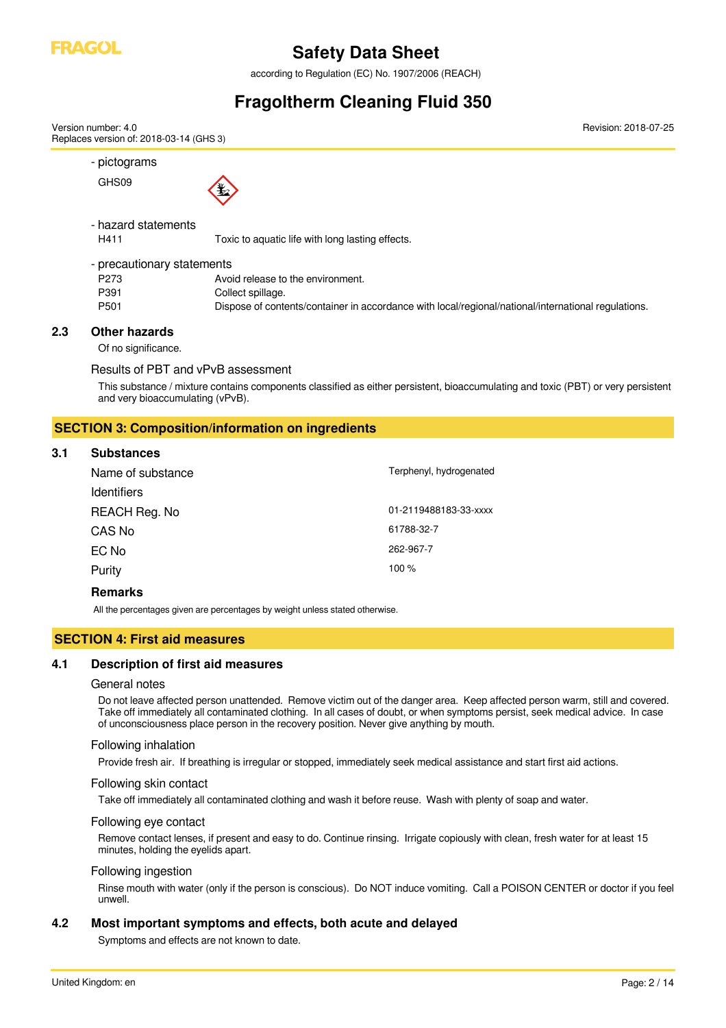

according to Regulation (EC) No. 1907/2006 (REACH)

# **Fragoltherm Cleaning Fluid 350**

| - pictograms               |                                                                                                     |
|----------------------------|-----------------------------------------------------------------------------------------------------|
| GHS09                      | 埑                                                                                                   |
| - hazard statements        |                                                                                                     |
| H411                       | Toxic to aquatic life with long lasting effects.                                                    |
| - precautionary statements |                                                                                                     |
| P <sub>273</sub>           | Avoid release to the environment.                                                                   |
| P391                       | Collect spillage.                                                                                   |
| P <sub>501</sub>           | Dispose of contents/container in accordance with local/regional/national/international regulations. |

Results of PBT and vPvB assessment

This substance / mixture contains components classified as either persistent, bioaccumulating and toxic (PBT) or very persistent and very bioaccumulating (vPvB).

### **SECTION 3: Composition/information on ingredients**

#### **3.1 Substances**

| Name of substance  | Terphenyl, hydrogenated |
|--------------------|-------------------------|
| <b>Identifiers</b> |                         |
| REACH Reg. No      | 01-2119488183-33-xxxx   |
| CAS No             | 61788-32-7              |
| EC No              | 262-967-7               |
| Purity             | 100 %                   |
|                    |                         |

### **Remarks**

All the percentages given are percentages by weight unless stated otherwise.

# **SECTION 4: First aid measures**

### **4.1 Description of first aid measures**

#### General notes

Do not leave affected person unattended. Remove victim out of the danger area. Keep affected person warm, still and covered. Take off immediately all contaminated clothing. In all cases of doubt, or when symptoms persist, seek medical advice. In case of unconsciousness place person in the recovery position. Never give anything by mouth.

#### Following inhalation

Provide fresh air. If breathing is irregular or stopped, immediately seek medical assistance and start first aid actions.

#### Following skin contact

Take off immediately all contaminated clothing and wash it before reuse. Wash with plenty of soap and water.

#### Following eye contact

Remove contact lenses, if present and easy to do. Continue rinsing. Irrigate copiously with clean, fresh water for at least 15 minutes, holding the eyelids apart.

#### Following ingestion

Rinse mouth with water (only if the person is conscious). Do NOT induce vomiting. Call a POISON CENTER or doctor if you feel unwell.

### **4.2 Most important symptoms and effects, both acute and delayed**

Symptoms and effects are not known to date.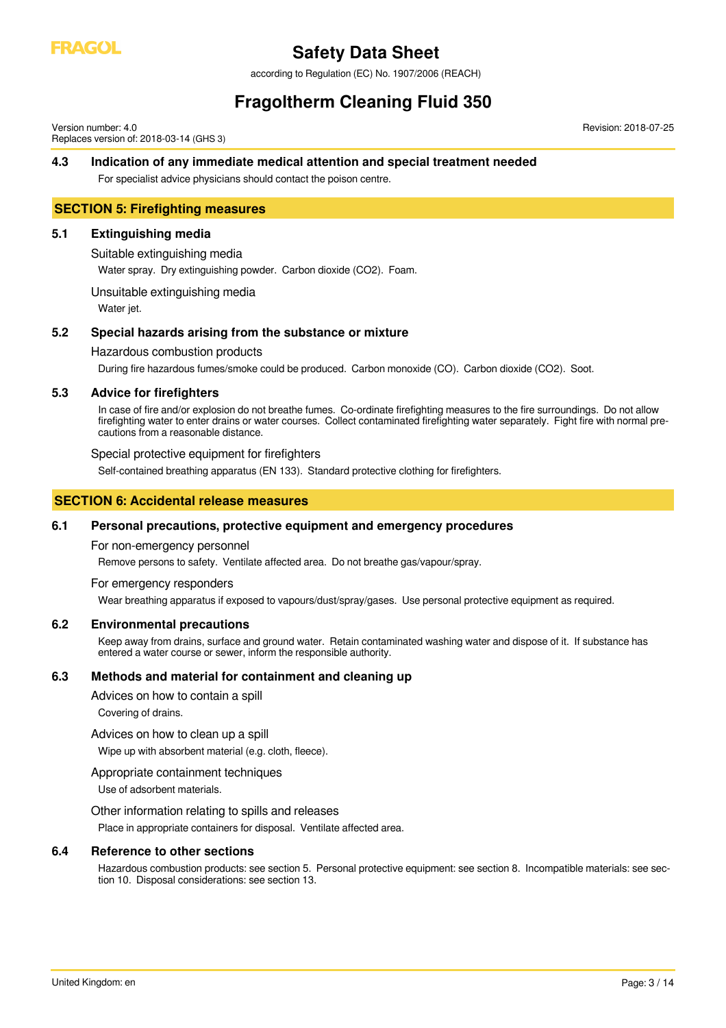

according to Regulation (EC) No. 1907/2006 (REACH)

# **Fragoltherm Cleaning Fluid 350**

Version number: 4.0 Replaces version of: 2018-03-14 (GHS 3)

### **4.3 Indication of any immediate medical attention and special treatment needed**

For specialist advice physicians should contact the poison centre.

### **SECTION 5: Firefighting measures**

### **5.1 Extinguishing media**

#### Suitable extinguishing media

Water spray. Dry extinguishing powder. Carbon dioxide (CO2). Foam.

Unsuitable extinguishing media

Water jet.

### **5.2 Special hazards arising from the substance or mixture**

#### Hazardous combustion products

During fire hazardous fumes/smoke could be produced. Carbon monoxide (CO). Carbon dioxide (CO2). Soot.

### **5.3 Advice for firefighters**

In case of fire and/or explosion do not breathe fumes. Co-ordinate firefighting measures to the fire surroundings. Do not allow firefighting water to enter drains or water courses. Collect contaminated firefighting water separately. Fight fire with normal precautions from a reasonable distance.

#### Special protective equipment for firefighters

Self-contained breathing apparatus (EN 133). Standard protective clothing for firefighters.

### **SECTION 6: Accidental release measures**

#### **6.1 Personal precautions, protective equipment and emergency procedures**

For non-emergency personnel

Remove persons to safety. Ventilate affected area. Do not breathe gas/vapour/spray.

#### For emergency responders

Wear breathing apparatus if exposed to vapours/dust/spray/gases. Use personal protective equipment as required.

#### **6.2 Environmental precautions**

Keep away from drains, surface and ground water. Retain contaminated washing water and dispose of it. If substance has entered a water course or sewer, inform the responsible authority.

### **6.3 Methods and material for containment and cleaning up**

Advices on how to contain a spill

Covering of drains.

#### Advices on how to clean up a spill

Wipe up with absorbent material (e.g. cloth, fleece).

#### Appropriate containment techniques

Use of adsorbent materials.

Other information relating to spills and releases

Place in appropriate containers for disposal. Ventilate affected area.

#### **6.4 Reference to other sections**

Hazardous combustion products: see section 5. Personal protective equipment: see section 8. Incompatible materials: see section 10. Disposal considerations: see section 13.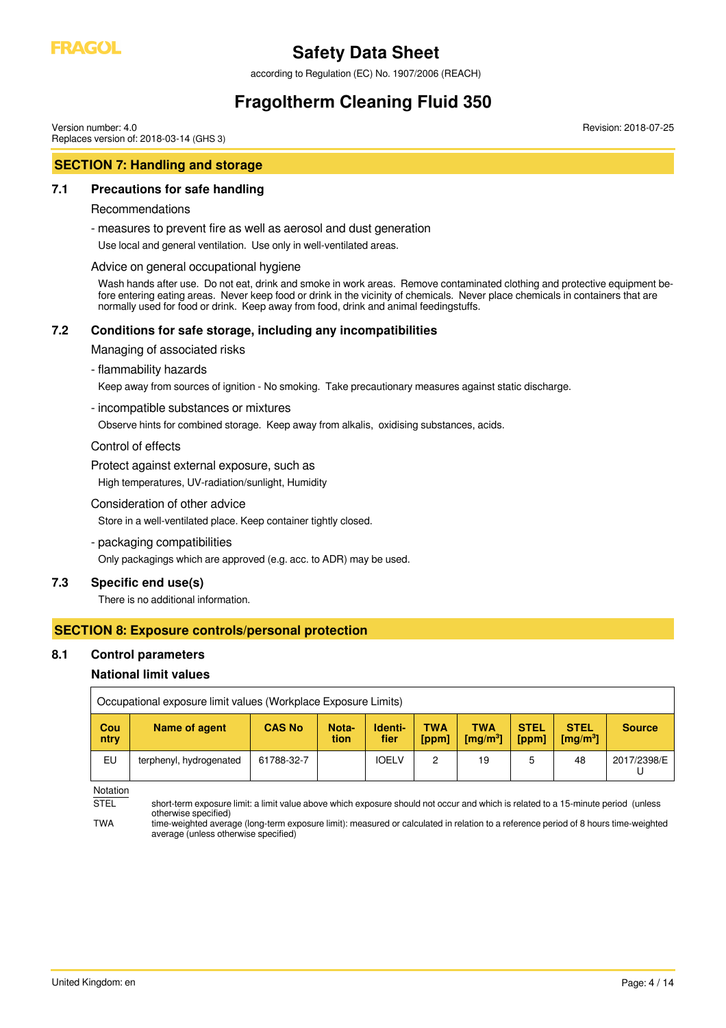

according to Regulation (EC) No. 1907/2006 (REACH)

# **Fragoltherm Cleaning Fluid 350**

Version number: 4.0 Replaces version of: 2018-03-14 (GHS 3)

# **SECTION 7: Handling and storage**

### **7.1 Precautions for safe handling**

### Recommendations

- measures to prevent fire as well as aerosol and dust generation

Use local and general ventilation. Use only in well-ventilated areas.

### Advice on general occupational hygiene

Wash hands after use. Do not eat, drink and smoke in work areas. Remove contaminated clothing and protective equipment before entering eating areas. Never keep food or drink in the vicinity of chemicals. Never place chemicals in containers that are normally used for food or drink. Keep away from food, drink and animal feedingstuffs.

### **7.2 Conditions for safe storage, including any incompatibilities**

Managing of associated risks

### - flammability hazards

Keep away from sources of ignition - No smoking. Take precautionary measures against static discharge.

- incompatible substances or mixtures

Observe hints for combined storage. Keep away from alkalis, oxidising substances, acids.

Control of effects

Protect against external exposure, such as

High temperatures, UV-radiation/sunlight, Humidity

### Consideration of other advice

Store in a well-ventilated place. Keep container tightly closed.

- packaging compatibilities

Only packagings which are approved (e.g. acc. to ADR) may be used.

### **7.3 Specific end use(s)**

There is no additional information.

### **SECTION 8: Exposure controls/personal protection**

### **8.1 Control parameters**

### **National limit values**

|             | Occupational exposure limit values (Workplace Exposure Limits) |               |               |                 |              |                                         |                      |                                             |               |
|-------------|----------------------------------------------------------------|---------------|---------------|-----------------|--------------|-----------------------------------------|----------------------|---------------------------------------------|---------------|
| Cou<br>ntry | Name of agent                                                  | <b>CAS No</b> | Nota-<br>tion | Identi-<br>fier | TWA<br>[ppm] | TWA<br>$\mathrm{Im}\alpha/\mathrm{m}^3$ | <b>STEL</b><br>[ppm] | <b>STEL</b><br>$\left[\text{mq/m}^3\right]$ | <b>Source</b> |
| EU          | terphenyl, hydrogenated                                        | 61788-32-7    |               | <b>IOELV</b>    | 2            | 19                                      | ხ                    | 48                                          | 2017/2398/E   |

Notation

STEL short-term exposure limit: a limit value above which exposure should not occur and which is related to a 15-minute period (unless otherwise specified)

TWA time-weighted average (long-term exposure limit): measured or calculated in relation to a reference period of 8 hours time-weighted average (unless otherwise specified)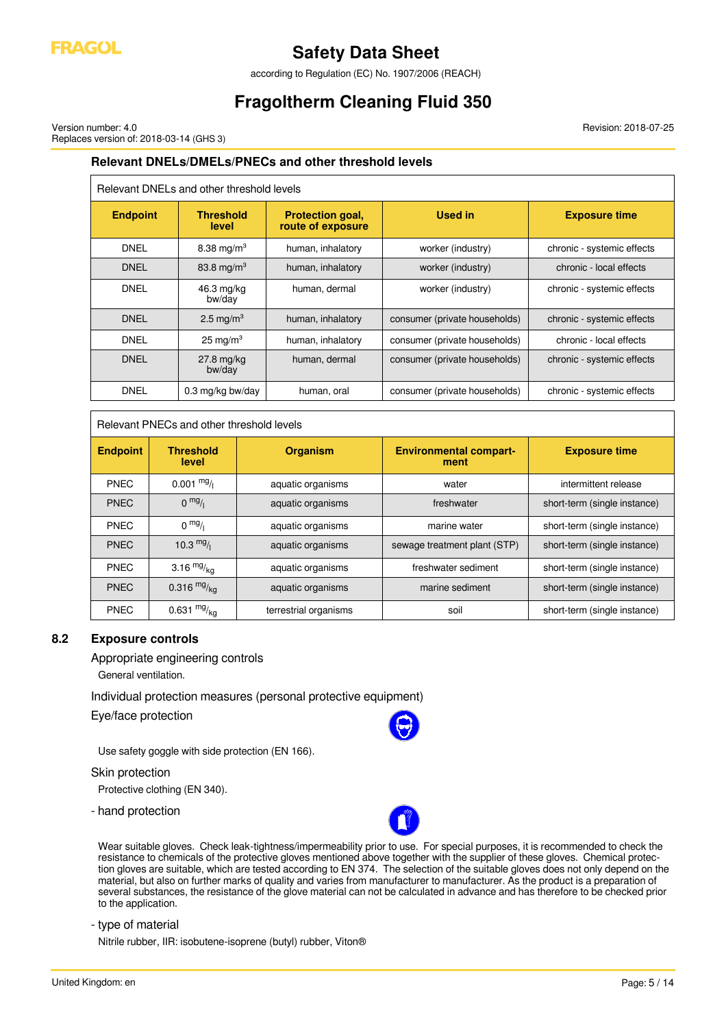

according to Regulation (EC) No. 1907/2006 (REACH)

# **Fragoltherm Cleaning Fluid 350**

Version number: 4.0 Replaces version of: 2018-03-14 (GHS 3) Revision: 2018-07-25

# **Relevant DNELs/DMELs/PNECs and other threshold levels**

| Relevant DNELs and other threshold levels |                           |                                              |                               |                            |  |
|-------------------------------------------|---------------------------|----------------------------------------------|-------------------------------|----------------------------|--|
| <b>Endpoint</b>                           | <b>Threshold</b><br>level | <b>Protection goal,</b><br>route of exposure | <b>Used in</b>                | <b>Exposure time</b>       |  |
| DNEL                                      | 8.38 mg/m <sup>3</sup>    | human, inhalatory                            | worker (industry)             | chronic - systemic effects |  |
| <b>DNEL</b>                               | 83.8 mg/m <sup>3</sup>    | human, inhalatory                            | worker (industry)             | chronic - local effects    |  |
| DNEL                                      | 46.3 mg/kg<br>bw/day      | human, dermal                                | worker (industry)             | chronic - systemic effects |  |
| <b>DNFI</b>                               | 2.5 mg/m <sup>3</sup>     | human, inhalatory                            | consumer (private households) | chronic - systemic effects |  |
| DNEL                                      | $25 \text{ mg/m}^3$       | human, inhalatory                            | consumer (private households) | chronic - local effects    |  |
| <b>DNEL</b>                               | $27.8$ mg/kg<br>bw/day    | human, dermal                                | consumer (private households) | chronic - systemic effects |  |
| DNEL                                      | 0.3 mg/kg bw/day          | human, oral                                  | consumer (private households) | chronic - systemic effects |  |

# Relevant PNECs and other threshold levels

| <b>Endpoint</b> | <b>Threshold</b><br>level | <b>Organism</b>       | <b>Environmental compart-</b><br>ment | <b>Exposure time</b>         |
|-----------------|---------------------------|-----------------------|---------------------------------------|------------------------------|
| <b>PNEC</b>     | $0.001 \frac{mg}{l}$      | aquatic organisms     | water                                 | intermittent release         |
| <b>PNEC</b>     | 0 <sup>mg</sup> /1        | aquatic organisms     | freshwater                            | short-term (single instance) |
| <b>PNEC</b>     | $0 \frac{mg}{l}$          | aquatic organisms     | marine water                          | short-term (single instance) |
| <b>PNEC</b>     | 10.3 $mg/$                | aquatic organisms     | sewage treatment plant (STP)          | short-term (single instance) |
| <b>PNEC</b>     | 3.16 $mg/kq$              | aquatic organisms     | freshwater sediment                   | short-term (single instance) |
| <b>PNEC</b>     | 0.316 $mg/kq$             | aquatic organisms     | marine sediment                       | short-term (single instance) |
| <b>PNEC</b>     | 0.631 $mg/kq$             | terrestrial organisms | soil                                  | short-term (single instance) |

## **8.2 Exposure controls**

Appropriate engineering controls

General ventilation.

Individual protection measures (personal protective equipment)

Eye/face protection

Use safety goggle with side protection (EN 166).

#### Skin protection

Protective clothing (EN 340).

- hand protection



Wear suitable gloves. Check leak-tightness/impermeability prior to use. For special purposes, it is recommended to check the resistance to chemicals of the protective gloves mentioned above together with the supplier of these gloves. Chemical protection gloves are suitable, which are tested according to EN 374. The selection of the suitable gloves does not only depend on the material, but also on further marks of quality and varies from manufacturer to manufacturer. As the product is a preparation of several substances, the resistance of the glove material can not be calculated in advance and has therefore to be checked prior to the application.

- type of material

Nitrile rubber, IIR: isobutene-isoprene (butyl) rubber, Viton®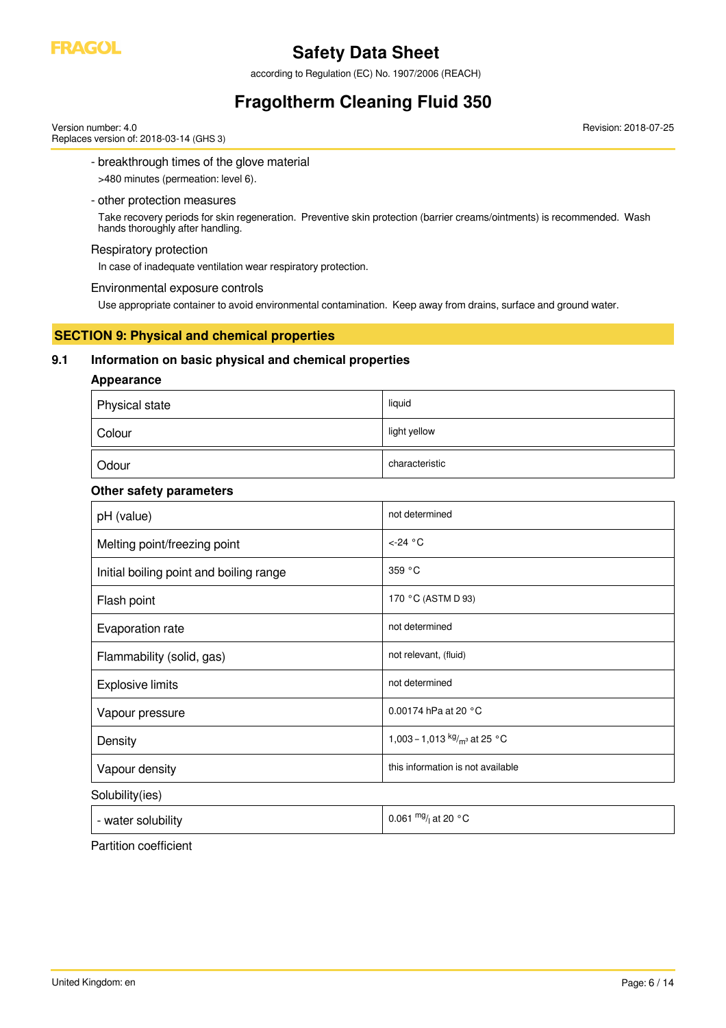

according to Regulation (EC) No. 1907/2006 (REACH)

# **Fragoltherm Cleaning Fluid 350**

Version number: 4.0 Replaces version of: 2018-03-14 (GHS 3) Revision: 2018-07-25

- breakthrough times of the glove material

>480 minutes (permeation: level 6).

### - other protection measures

Take recovery periods for skin regeneration. Preventive skin protection (barrier creams/ointments) is recommended. Wash hands thoroughly after handling.

### Respiratory protection

In case of inadequate ventilation wear respiratory protection.

### Environmental exposure controls

Use appropriate container to avoid environmental contamination. Keep away from drains, surface and ground water.

### **SECTION 9: Physical and chemical properties**

### **9.1 Information on basic physical and chemical properties**

### **Appearance**

| Physical state | liquid         |
|----------------|----------------|
| Colour         | light yellow   |
| Odour          | characteristic |

# **Other safety parameters**

| pH (value)                              | not determined                    |
|-----------------------------------------|-----------------------------------|
| Melting point/freezing point            | $\leftarrow$ 24 °C                |
| Initial boiling point and boiling range | 359 °C                            |
| Flash point                             | 170 °C (ASTM D 93)                |
| Evaporation rate                        | not determined                    |
| Flammability (solid, gas)               | not relevant, (fluid)             |
| <b>Explosive limits</b>                 | not determined                    |
| Vapour pressure                         | 0.00174 hPa at 20 °C              |
| Density                                 | 1,003 – 1,013 $kg/m3$ at 25 °C    |
| Vapour density                          | this information is not available |
| Solubility(ies)                         |                                   |

0.061  $mg/$  at 20 °C

- water solubility

Partition coefficient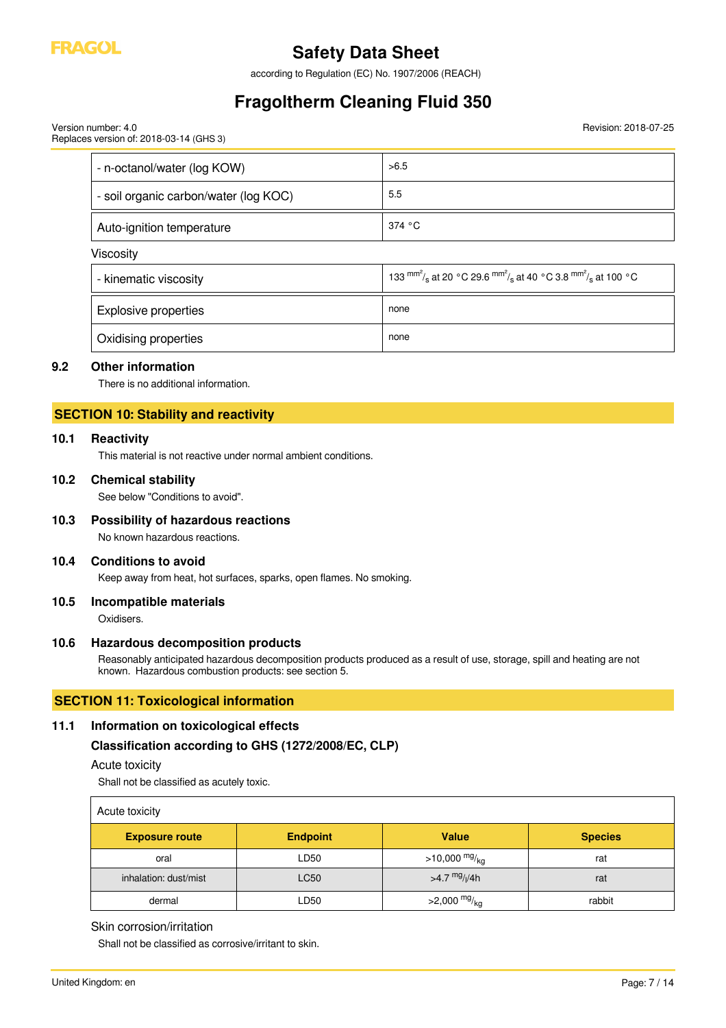

Version number: 4.0

# **Safety Data Sheet**

according to Regulation (EC) No. 1907/2006 (REACH)

# **Fragoltherm Cleaning Fluid 350**

Revision: 2018-07-25

| Replaces version of: 2018-03-14 (GHS 3) |        |
|-----------------------------------------|--------|
| - n-octanol/water (log KOW)             | >6.5   |
| - soil organic carbon/water (log KOC)   | 5.5    |
| Auto-ignition temperature               | 374 °C |
| Viscosity                               |        |

| - kinematic viscosity             | 133 mm <sup>2</sup> / <sub>s</sub> at 20 °C 29.6 mm <sup>2</sup> / <sub>s</sub> at 40 °C 3.8 mm <sup>2</sup> / <sub>s</sub> at 100 °C |
|-----------------------------------|---------------------------------------------------------------------------------------------------------------------------------------|
| <b>Explosive properties</b>       | none                                                                                                                                  |
| <sup>1</sup> Oxidising properties | none                                                                                                                                  |

### **9.2 Other information**

There is no additional information.

### **SECTION 10: Stability and reactivity**

### **10.1 Reactivity**

This material is not reactive under normal ambient conditions.

#### **10.2 Chemical stability**

See below "Conditions to avoid".

### **10.3 Possibility of hazardous reactions**

No known hazardous reactions.

### **10.4 Conditions to avoid**

Keep away from heat, hot surfaces, sparks, open flames. No smoking.

#### **10.5 Incompatible materials**

Oxidisers.

#### **10.6 Hazardous decomposition products**

Reasonably anticipated hazardous decomposition products produced as a result of use, storage, spill and heating are not known. Hazardous combustion products: see section 5.

## **SECTION 11: Toxicological information**

# **11.1 Information on toxicological effects**

**Classification according to GHS (1272/2008/EC, CLP)**

### Acute toxicity

Shall not be classified as acutely toxic.

| Acute toxicity        |                 |                          |                |
|-----------------------|-----------------|--------------------------|----------------|
| <b>Exposure route</b> | <b>Endpoint</b> | <b>Value</b>             | <b>Species</b> |
| oral                  | LD50            | >10,000 $mg/kq$          | rat            |
| inhalation: dust/mist | <b>LC50</b>     | >4.7 $mg/1/4h$           | rat            |
| dermal                | LD50            | >2,000 $mg/_{\text{ka}}$ | rabbit         |

### Skin corrosion/irritation

Shall not be classified as corrosive/irritant to skin.

 $\mathbf{r}$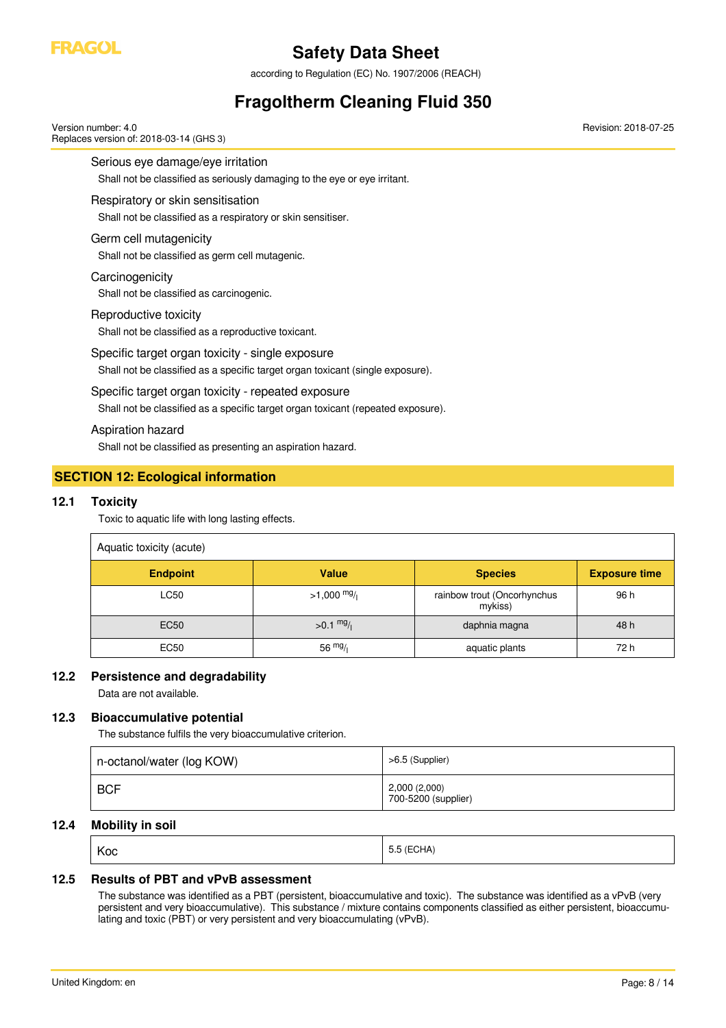

according to Regulation (EC) No. 1907/2006 (REACH)

# **Fragoltherm Cleaning Fluid 350**

Serious eye damage/eye irritation Shall not be classified as seriously damaging to the eye or eye irritant. Respiratory or skin sensitisation Shall not be classified as a respiratory or skin sensitiser. Germ cell mutagenicity Shall not be classified as germ cell mutagenic. **Carcinogenicity** Shall not be classified as carcinogenic. Reproductive toxicity Shall not be classified as a reproductive toxicant. Specific target organ toxicity - single exposure Shall not be classified as a specific target organ toxicant (single exposure). Specific target organ toxicity - repeated exposure Shall not be classified as a specific target organ toxicant (repeated exposure). Version number: 4.0 Replaces version of: 2018-03-14 (GHS 3) Revision: 2018-07-25

Aspiration hazard

Shall not be classified as presenting an aspiration hazard.

# **SECTION 12: Ecological information**

### **12.1 Toxicity**

Toxic to aquatic life with long lasting effects.

| Aquatic toxicity (acute) |                       |                                        |                      |
|--------------------------|-----------------------|----------------------------------------|----------------------|
| <b>Endpoint</b>          | <b>Value</b>          | <b>Species</b>                         | <b>Exposure time</b> |
| LC50                     | $>1,000 \frac{mg}{l}$ | rainbow trout (Oncorhynchus<br>mykiss) | 96 h                 |
| <b>EC50</b>              | $>0.1 \frac{mg}{l}$   | daphnia magna                          | 48 h                 |
| <b>EC50</b>              | 56 $mg/$              | aquatic plants                         | 72 h                 |

### **12.2 Persistence and degradability**

Data are not available.

### **12.3 Bioaccumulative potential**

The substance fulfils the very bioaccumulative criterion.

| n-octanol/water (log KOW) | >6.5 (Supplier)                      |
|---------------------------|--------------------------------------|
| <b>BCF</b>                | 2,000 (2,000)<br>700-5200 (supplier) |

### **12.4 Mobility in soil**

| Koc | $\overline{1}$<br>:CHA)<br>ັ |
|-----|------------------------------|
|-----|------------------------------|

### **12.5 Results of PBT and vPvB assessment**

The substance was identified as a PBT (persistent, bioaccumulative and toxic). The substance was identified as a vPvB (very persistent and very bioaccumulative). This substance / mixture contains components classified as either persistent, bioaccumulating and toxic (PBT) or very persistent and very bioaccumulating (vPvB).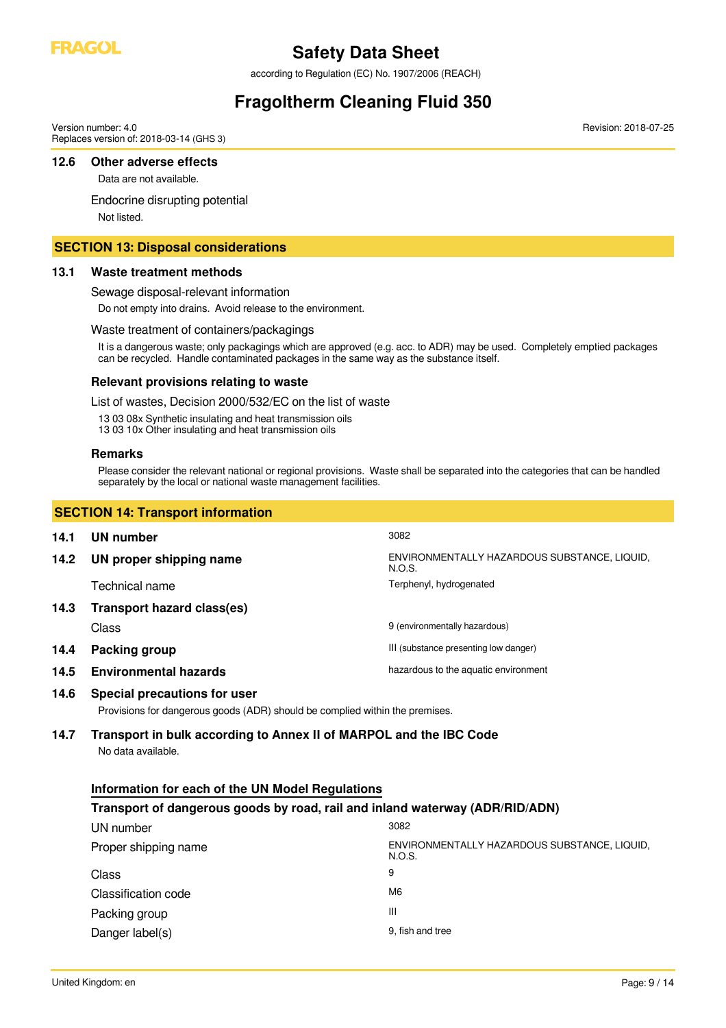

according to Regulation (EC) No. 1907/2006 (REACH)

# **Fragoltherm Cleaning Fluid 350**

Revision: 2018-07-25

Version number: 4.0 Replaces version of: 2018-03-14 (GHS 3)

### **12.6 Other adverse effects**

Data are not available.

Endocrine disrupting potential

Not listed.

### **SECTION 13: Disposal considerations**

### **13.1 Waste treatment methods**

Sewage disposal-relevant information

Do not empty into drains. Avoid release to the environment.

#### Waste treatment of containers/packagings

It is a dangerous waste; only packagings which are approved (e.g. acc. to ADR) may be used. Completely emptied packages can be recycled. Handle contaminated packages in the same way as the substance itself.

### **Relevant provisions relating to waste**

List of wastes, Decision 2000/532/EC on the list of waste

- 13 03 08x Synthetic insulating and heat transmission oils
- 13 03 10x Other insulating and heat transmission oils

#### **Remarks**

Please consider the relevant national or regional provisions. Waste shall be separated into the categories that can be handled separately by the local or national waste management facilities.

|      | <b>SECTION 14: Transport information</b> |                                                        |  |
|------|------------------------------------------|--------------------------------------------------------|--|
| 14.1 | UN number                                | 3082                                                   |  |
| 14.2 | UN proper shipping name                  | ENVIRONMENTALLY HAZARDOUS SUBSTANCE, LIQUID,<br>N.O.S. |  |
|      | Technical name                           | Terphenyl, hydrogenated                                |  |
| 14.3 | Transport hazard class(es)               |                                                        |  |
|      | Class                                    | 9 (environmentally hazardous)                          |  |
| 14.4 | Packing group                            | III (substance presenting low danger)                  |  |
| 14.5 | <b>Environmental hazards</b>             | hazardous to the aquatic environment                   |  |

### **14.6 Special precautions for user**

Provisions for dangerous goods (ADR) should be complied within the premises.

### **14.7 Transport in bulk according to Annex II of MARPOL and the IBC Code** No data available.

| Information for each of the UN Model Regulations                             |                                                        |  |
|------------------------------------------------------------------------------|--------------------------------------------------------|--|
| Transport of dangerous goods by road, rail and inland waterway (ADR/RID/ADN) |                                                        |  |
| UN number                                                                    | 3082                                                   |  |
| Proper shipping name                                                         | ENVIRONMENTALLY HAZARDOUS SUBSTANCE, LIQUID,<br>N.O.S. |  |
| Class                                                                        | 9                                                      |  |
| Classification code                                                          | M <sub>6</sub>                                         |  |
| Packing group                                                                | Ш                                                      |  |
| Danger label(s)                                                              | 9. fish and tree                                       |  |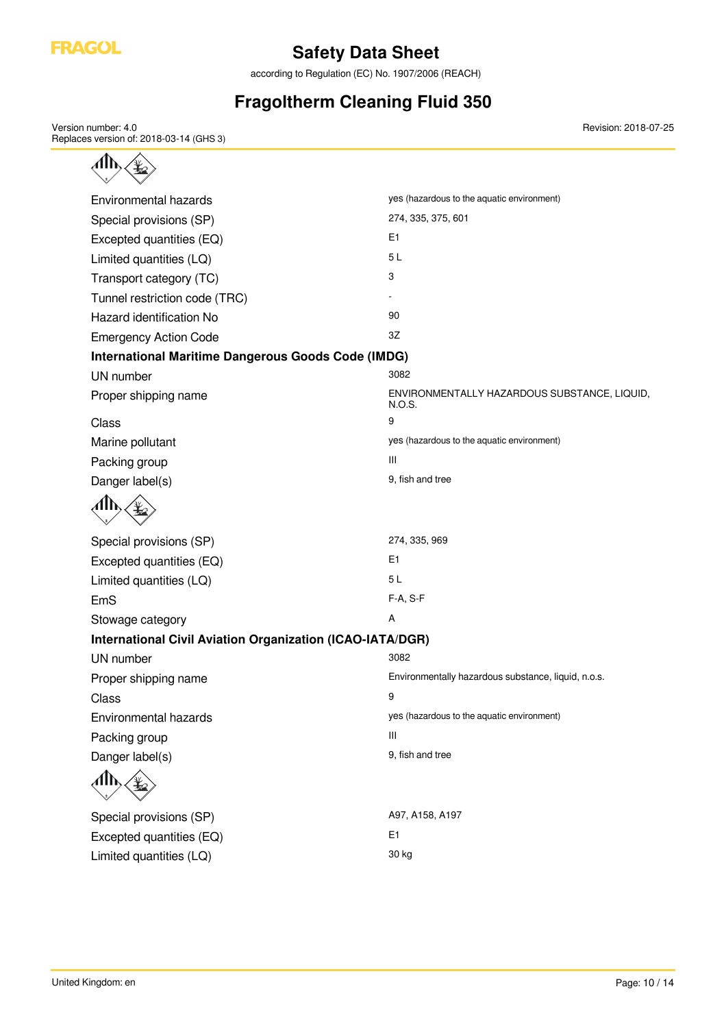

according to Regulation (EC) No. 1907/2006 (REACH)

# **Fragoltherm Cleaning Fluid 350**

Version number: 4.0 Replaces version of: 2018-03-14 (GHS 3)

| Environmental hazards                                            | yes (hazardous to the aquatic environment)             |
|------------------------------------------------------------------|--------------------------------------------------------|
| Special provisions (SP)                                          | 274, 335, 375, 601                                     |
| Excepted quantities (EQ)                                         | E <sub>1</sub>                                         |
| Limited quantities (LQ)                                          | 5L                                                     |
| Transport category (TC)                                          | 3                                                      |
| Tunnel restriction code (TRC)                                    |                                                        |
| Hazard identification No                                         | 90                                                     |
| <b>Emergency Action Code</b>                                     | 3Z                                                     |
| <b>International Maritime Dangerous Goods Code (IMDG)</b>        |                                                        |
| UN number                                                        | 3082                                                   |
| Proper shipping name                                             | ENVIRONMENTALLY HAZARDOUS SUBSTANCE, LIQUID,<br>N.O.S. |
| Class                                                            | 9                                                      |
| Marine pollutant                                                 | yes (hazardous to the aquatic environment)             |
| Packing group                                                    | Ш                                                      |
| Danger label(s)                                                  | 9, fish and tree                                       |
|                                                                  |                                                        |
| Special provisions (SP)                                          | 274, 335, 969                                          |
| Excepted quantities (EQ)                                         | E <sub>1</sub>                                         |
| Limited quantities (LQ)                                          | 5L                                                     |
| EmS                                                              | F-A, S-F                                               |
| Stowage category                                                 | Α                                                      |
| <b>International Civil Aviation Organization (ICAO-IATA/DGR)</b> |                                                        |
| UN number                                                        | 3082                                                   |
| Proper shipping name                                             | Environmentally hazardous substance, liquid, n.o.s.    |
| Class                                                            | 9                                                      |
| Environmental hazards                                            | yes (hazardous to the aquatic environment)             |
| Packing group                                                    | Ш                                                      |
| Danger label(s)                                                  | 9, fish and tree                                       |
| ՃՒ                                                               |                                                        |
| Special provisions (SP)                                          | A97, A158, A197                                        |
|                                                                  | E1                                                     |
| Limited quantities (LQ)                                          | 30 kg                                                  |
| Excepted quantities (EQ)                                         |                                                        |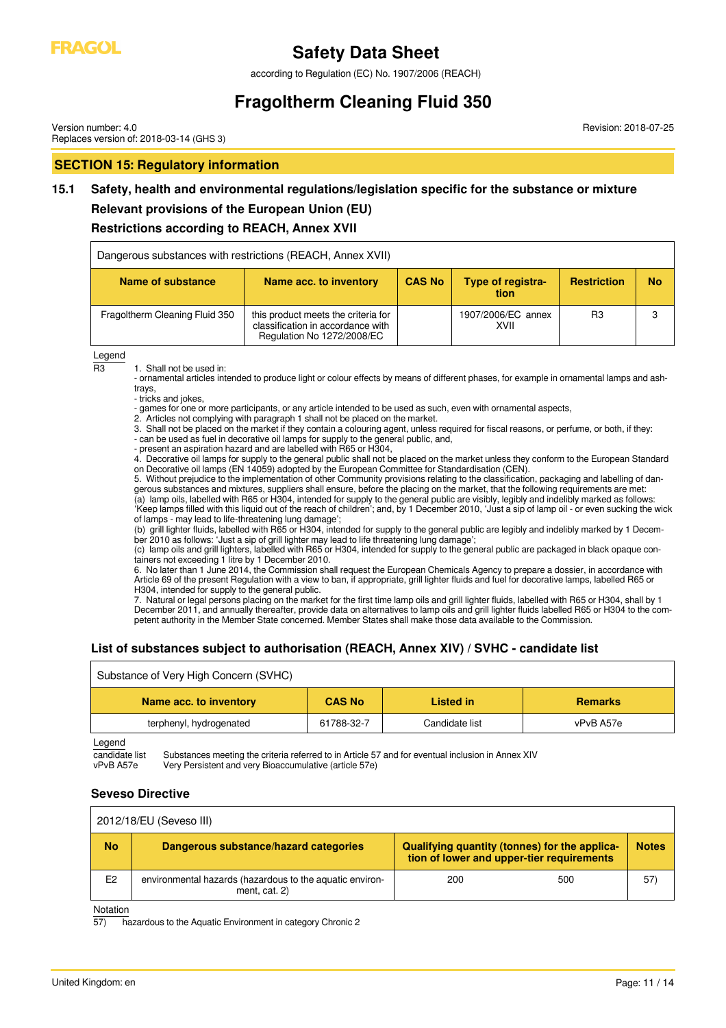

according to Regulation (EC) No. 1907/2006 (REACH)

# **Fragoltherm Cleaning Fluid 350**

Version number: 4.0 Replaces version of: 2018-03-14 (GHS 3)

### **SECTION 15: Regulatory information**

# **15.1 Safety, health and environmental regulations/legislation specific for the substance or mixture**

# **Relevant provisions of the European Union (EU)**

### **Restrictions according to REACH, Annex XVII**

| Dangerous substances with restrictions (REACH, Annex XVII) |                                                                                                        |               |                                  |                    |           |
|------------------------------------------------------------|--------------------------------------------------------------------------------------------------------|---------------|----------------------------------|--------------------|-----------|
| Name of substance                                          | Name acc. to inventory                                                                                 | <b>CAS No</b> | <b>Type of registra-</b><br>tion | <b>Restriction</b> | <b>No</b> |
| Fragoltherm Cleaning Fluid 350                             | this product meets the criteria for<br>classification in accordance with<br>Regulation No 1272/2008/EC |               | 1907/2006/EC annex<br>XVII       | R3                 |           |

 $\frac{\text{Legend}}{\text{B3}}$ 

1. Shall not be used in:

- ornamental articles intended to produce light or colour effects by means of different phases, for example in ornamental lamps and ashtrays,

- tricks and jokes,

- games for one or more participants, or any article intended to be used as such, even with ornamental aspects,

2. Articles not complying with paragraph 1 shall not be placed on the market.

3. Shall not be placed on the market if they contain a colouring agent, unless required for fiscal reasons, or perfume, or both, if they:

- can be used as fuel in decorative oil lamps for supply to the general public, and,

- present an aspiration hazard and are labelled with R65 or H304,

4. Decorative oil lamps for supply to the general public shall not be placed on the market unless they conform to the European Standard on Decorative oil lamps (EN 14059) adopted by the European Committee for Standardisation (CEN).

5. Without prejudice to the implementation of other Community provisions relating to the classification, packaging and labelling of dangerous substances and mixtures, suppliers shall ensure, before the placing on the market, that the following requirements are met: (a) lamp oils, labelled with R65 or H304, intended for supply to the general public are visibly, legibly and indelibly marked as follows: 'Keep lamps filled with this liquid out of the reach of children'; and, by 1 December 2010, 'Just a sip of lamp oil - or even sucking the wick of lamps - may lead to life-threatening lung damage';

(b) grill lighter fluids, labelled with R65 or H304, intended for supply to the general public are legibly and indelibly marked by 1 December 2010 as follows: 'Just a sip of grill lighter may lead to life threatening lung damage';

(c) lamp oils and grill lighters, labelled with R65 or H304, intended for supply to the general public are packaged in black opaque containers not exceeding 1 litre by 1 December 2010.

6. No later than 1 June 2014, the Commission shall request the European Chemicals Agency to prepare a dossier, in accordance with Article 69 of the present Regulation with a view to ban, if appropriate, grill lighter fluids and fuel for decorative lamps, labelled R65 or H304, intended for supply to the general public.

7. Natural or legal persons placing on the market for the first time lamp oils and grill lighter fluids, labelled with R65 or H304, shall by 1 December 2011, and annually thereafter, provide data on alternatives to lamp oils and grill lighter fluids labelled R65 or H304 to the competent authority in the Member State concerned. Member States shall make those data available to the Commission.

### **List of substances subject to authorisation (REACH, Annex XIV) / SVHC - candidate list**

| Substance of Very High Concern (SVHC) |               |                |                |
|---------------------------------------|---------------|----------------|----------------|
| Name acc. to inventory                | <b>CAS No</b> | Listed in      | <b>Remarks</b> |
| terphenyl, hydrogenated               | 61788-32-7    | Candidate list | vPvB A57e      |

Legend

candidate list Substances meeting the criteria referred to in Article 57 and for eventual inclusion in Annex XIV<br>vPvB A57e Very Persistent and very Bioaccumulative (article 57e) Very Persistent and very Bioaccumulative (article 57e)

### **Seveso Directive**

| 2012/18/EU (Seveso III) |                                                                           |                                                                                            |              |
|-------------------------|---------------------------------------------------------------------------|--------------------------------------------------------------------------------------------|--------------|
| <b>No</b>               | Dangerous substance/hazard categories                                     | Qualifying quantity (tonnes) for the applica-<br>tion of lower and upper-tier requirements | <b>Notes</b> |
| E <sub>2</sub>          | environmental hazards (hazardous to the aquatic environ-<br>ment, cat. 2) | 200<br>500                                                                                 | 57)          |

Notation

 $\overline{a}$  hazardous to the Aquatic Environment in category Chronic 2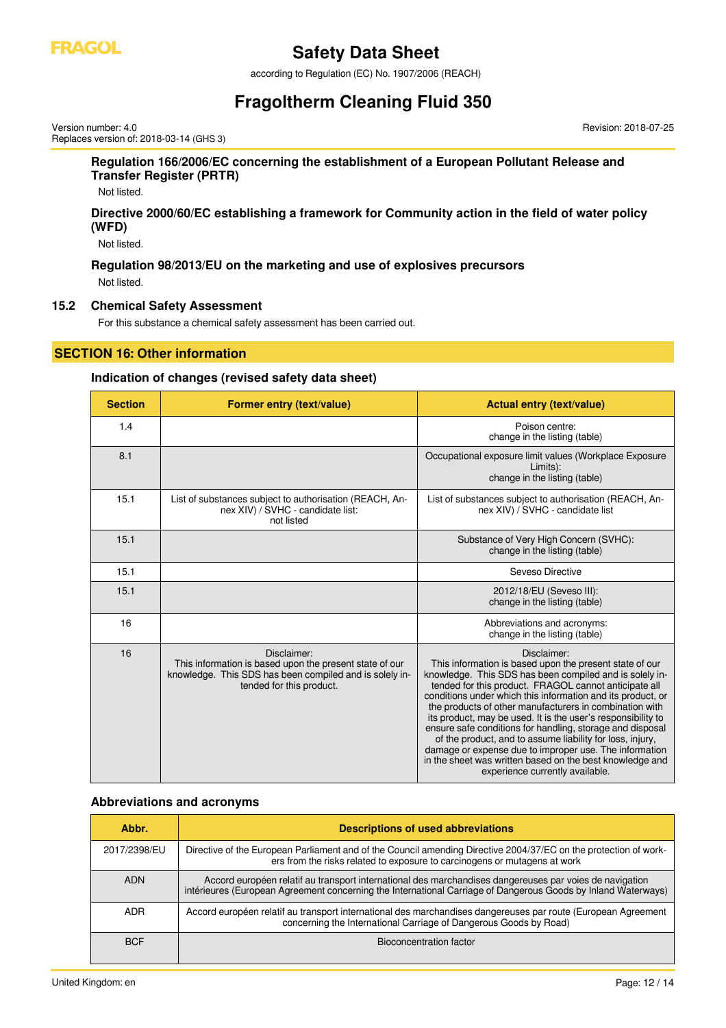

according to Regulation (EC) No. 1907/2006 (REACH)

# **Fragoltherm Cleaning Fluid 350**

Version number: 4.0 Replaces version of: 2018-03-14 (GHS 3) Revision: 2018-07-25

### **Regulation 166/2006/EC concerning the establishment of a European Pollutant Release and Transfer Register (PRTR)**

Not listed.

### **Directive 2000/60/EC establishing a framework for Community action in the field of water policy (WFD)**

Not listed.

**Regulation 98/2013/EU on the marketing and use of explosives precursors** Not listed.

### **15.2 Chemical Safety Assessment**

For this substance a chemical safety assessment has been carried out.

### **SECTION 16: Other information**

### **Indication of changes (revised safety data sheet)**

| <b>Section</b> | Former entry (text/value)                                                                                                                                     | <b>Actual entry (text/value)</b>                                                                                                                                                                                                                                                                                                                                                                                                                                                                                                                                                                                                                                        |
|----------------|---------------------------------------------------------------------------------------------------------------------------------------------------------------|-------------------------------------------------------------------------------------------------------------------------------------------------------------------------------------------------------------------------------------------------------------------------------------------------------------------------------------------------------------------------------------------------------------------------------------------------------------------------------------------------------------------------------------------------------------------------------------------------------------------------------------------------------------------------|
| 1.4            |                                                                                                                                                               | Poison centre:<br>change in the listing (table)                                                                                                                                                                                                                                                                                                                                                                                                                                                                                                                                                                                                                         |
| 8.1            |                                                                                                                                                               | Occupational exposure limit values (Workplace Exposure<br>Limits):<br>change in the listing (table)                                                                                                                                                                                                                                                                                                                                                                                                                                                                                                                                                                     |
| 15.1           | List of substances subject to authorisation (REACH, An-<br>nex XIV) / SVHC - candidate list:<br>not listed                                                    | List of substances subject to authorisation (REACH, An-<br>nex XIV) / SVHC - candidate list                                                                                                                                                                                                                                                                                                                                                                                                                                                                                                                                                                             |
| 15.1           |                                                                                                                                                               | Substance of Very High Concern (SVHC):<br>change in the listing (table)                                                                                                                                                                                                                                                                                                                                                                                                                                                                                                                                                                                                 |
| 15.1           |                                                                                                                                                               | Seveso Directive                                                                                                                                                                                                                                                                                                                                                                                                                                                                                                                                                                                                                                                        |
| 15.1           |                                                                                                                                                               | 2012/18/EU (Seveso III):<br>change in the listing (table)                                                                                                                                                                                                                                                                                                                                                                                                                                                                                                                                                                                                               |
| 16             |                                                                                                                                                               | Abbreviations and acronyms:<br>change in the listing (table)                                                                                                                                                                                                                                                                                                                                                                                                                                                                                                                                                                                                            |
| 16             | Disclaimer:<br>This information is based upon the present state of our<br>knowledge. This SDS has been compiled and is solely in-<br>tended for this product. | Disclaimer:<br>This information is based upon the present state of our<br>knowledge. This SDS has been compiled and is solely in-<br>tended for this product. FRAGOL cannot anticipate all<br>conditions under which this information and its product, or<br>the products of other manufacturers in combination with<br>its product, may be used. It is the user's responsibility to<br>ensure safe conditions for handling, storage and disposal<br>of the product, and to assume liability for loss, injury,<br>damage or expense due to improper use. The information<br>in the sheet was written based on the best knowledge and<br>experience currently available. |

### **Abbreviations and acronyms**

| Abbr.        | <b>Descriptions of used abbreviations</b>                                                                                                                                                                                |
|--------------|--------------------------------------------------------------------------------------------------------------------------------------------------------------------------------------------------------------------------|
| 2017/2398/EU | Directive of the European Parliament and of the Council amending Directive 2004/37/EC on the protection of work-<br>ers from the risks related to exposure to carcinogens or mutagens at work                            |
| <b>ADN</b>   | Accord européen relatif au transport international des marchandises dangereuses par voies de navigation<br>intérieures (European Agreement concerning the International Carriage of Dangerous Goods by Inland Waterways) |
| ADR.         | Accord européen relatif au transport international des marchandises dangereuses par route (European Agreement<br>concerning the International Carriage of Dangerous Goods by Road)                                       |
| <b>BCF</b>   | Bioconcentration factor                                                                                                                                                                                                  |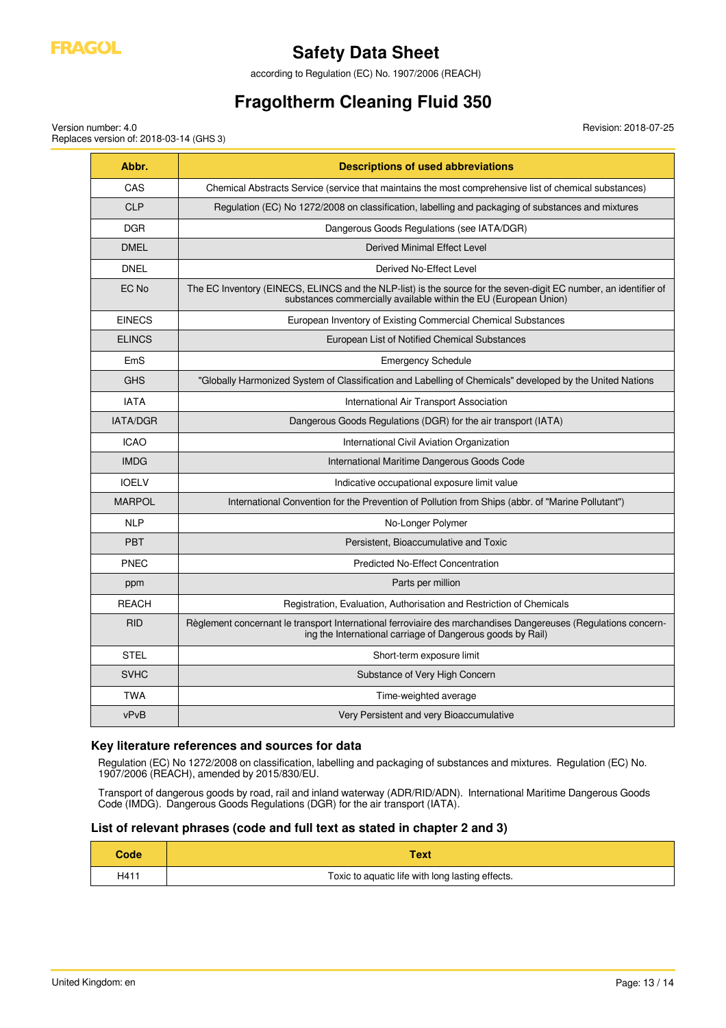

according to Regulation (EC) No. 1907/2006 (REACH)

# **Fragoltherm Cleaning Fluid 350**

Version number: 4.0 Replaces version of: 2018-03-14 (GHS 3) Revision: 2018-07-25

| Abbr.           | <b>Descriptions of used abbreviations</b>                                                                                                                                            |
|-----------------|--------------------------------------------------------------------------------------------------------------------------------------------------------------------------------------|
| CAS             | Chemical Abstracts Service (service that maintains the most comprehensive list of chemical substances)                                                                               |
| <b>CLP</b>      | Regulation (EC) No 1272/2008 on classification, labelling and packaging of substances and mixtures                                                                                   |
| <b>DGR</b>      | Dangerous Goods Regulations (see IATA/DGR)                                                                                                                                           |
| <b>DMEL</b>     | <b>Derived Minimal Effect Level</b>                                                                                                                                                  |
| <b>DNEL</b>     | Derived No-Effect Level                                                                                                                                                              |
| EC No           | The EC Inventory (EINECS, ELINCS and the NLP-list) is the source for the seven-digit EC number, an identifier of<br>substances commercially available within the EU (European Union) |
| <b>EINECS</b>   | European Inventory of Existing Commercial Chemical Substances                                                                                                                        |
| <b>ELINCS</b>   | European List of Notified Chemical Substances                                                                                                                                        |
| EmS             | <b>Emergency Schedule</b>                                                                                                                                                            |
| <b>GHS</b>      | "Globally Harmonized System of Classification and Labelling of Chemicals" developed by the United Nations                                                                            |
| <b>IATA</b>     | International Air Transport Association                                                                                                                                              |
| <b>IATA/DGR</b> | Dangerous Goods Regulations (DGR) for the air transport (IATA)                                                                                                                       |
| <b>ICAO</b>     | International Civil Aviation Organization                                                                                                                                            |
| <b>IMDG</b>     | International Maritime Dangerous Goods Code                                                                                                                                          |
| <b>IOELV</b>    | Indicative occupational exposure limit value                                                                                                                                         |
| <b>MARPOL</b>   | International Convention for the Prevention of Pollution from Ships (abbr. of "Marine Pollutant")                                                                                    |
| <b>NLP</b>      | No-Longer Polymer                                                                                                                                                                    |
| <b>PBT</b>      | Persistent, Bioaccumulative and Toxic                                                                                                                                                |
| <b>PNEC</b>     | <b>Predicted No-Effect Concentration</b>                                                                                                                                             |
| ppm             | Parts per million                                                                                                                                                                    |
| <b>REACH</b>    | Registration, Evaluation, Authorisation and Restriction of Chemicals                                                                                                                 |
| <b>RID</b>      | Règlement concernant le transport International ferroviaire des marchandises Dangereuses (Regulations concern-<br>ing the International carriage of Dangerous goods by Rail)         |
| <b>STEL</b>     | Short-term exposure limit                                                                                                                                                            |
| <b>SVHC</b>     | Substance of Very High Concern                                                                                                                                                       |
| <b>TWA</b>      | Time-weighted average                                                                                                                                                                |
| vPvB            | Very Persistent and very Bioaccumulative                                                                                                                                             |

### **Key literature references and sources for data**

Regulation (EC) No 1272/2008 on classification, labelling and packaging of substances and mixtures. Regulation (EC) No. 1907/2006 (REACH), amended by 2015/830/EU.

Transport of dangerous goods by road, rail and inland waterway (ADR/RID/ADN). International Maritime Dangerous Goods Code (IMDG). Dangerous Goods Regulations (DGR) for the air transport (IATA).

### **List of relevant phrases (code and full text as stated in chapter 2 and 3)**

| <b>Code</b> | Text                                             |
|-------------|--------------------------------------------------|
| H41'        | Toxic to aquatic life with long lasting effects. |